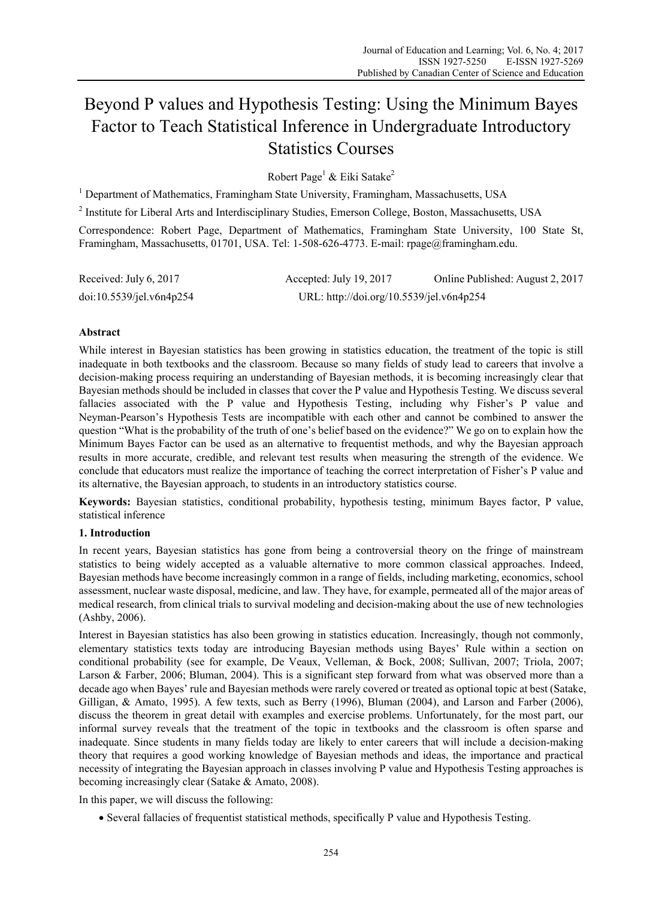# Beyond P values and Hypothesis Testing: Using the Minimum Bayes Factor to Teach Statistical Inference in Undergraduate Introductory Statistics Courses

Robert Page<sup>1</sup> & Eiki Satake<sup>2</sup>

<sup>1</sup> Department of Mathematics, Framingham State University, Framingham, Massachusetts, USA

<sup>2</sup> Institute for Liberal Arts and Interdisciplinary Studies, Emerson College, Boston, Massachusetts, USA

Correspondence: Robert Page, Department of Mathematics, Framingham State University, 100 State St, Framingham, Massachusetts, 01701, USA. Tel: 1-508-626-4773. E-mail: rpage@framingham.edu.

| Received: July 6, 2017   | Accepted: July 19, 2017                  | Online Published: August 2, 2017 |  |
|--------------------------|------------------------------------------|----------------------------------|--|
| doi:10.5539/jet.v6n4p254 | URL: http://doi.org/10.5539/jel.v6n4p254 |                                  |  |

## **Abstract**

While interest in Bayesian statistics has been growing in statistics education, the treatment of the topic is still inadequate in both textbooks and the classroom. Because so many fields of study lead to careers that involve a decision-making process requiring an understanding of Bayesian methods, it is becoming increasingly clear that Bayesian methods should be included in classes that cover the P value and Hypothesis Testing. We discuss several fallacies associated with the P value and Hypothesis Testing, including why Fisher's P value and Neyman-Pearson's Hypothesis Tests are incompatible with each other and cannot be combined to answer the question "What is the probability of the truth of one's belief based on the evidence?" We go on to explain how the Minimum Bayes Factor can be used as an alternative to frequentist methods, and why the Bayesian approach results in more accurate, credible, and relevant test results when measuring the strength of the evidence. We conclude that educators must realize the importance of teaching the correct interpretation of Fisher's P value and its alternative, the Bayesian approach, to students in an introductory statistics course.

**Keywords:** Bayesian statistics, conditional probability, hypothesis testing, minimum Bayes factor, P value, statistical inference

## **1. Introduction**

In recent years, Bayesian statistics has gone from being a controversial theory on the fringe of mainstream statistics to being widely accepted as a valuable alternative to more common classical approaches. Indeed, Bayesian methods have become increasingly common in a range of fields, including marketing, economics, school assessment, nuclear waste disposal, medicine, and law. They have, for example, permeated all of the major areas of medical research, from clinical trials to survival modeling and decision-making about the use of new technologies (Ashby, 2006).

Interest in Bayesian statistics has also been growing in statistics education. Increasingly, though not commonly, elementary statistics texts today are introducing Bayesian methods using Bayes' Rule within a section on conditional probability (see for example, De Veaux, Velleman, & Bock, 2008; Sullivan, 2007; Triola, 2007; Larson & Farber, 2006; Bluman, 2004). This is a significant step forward from what was observed more than a decade ago when Bayes' rule and Bayesian methods were rarely covered or treated as optional topic at best (Satake, Gilligan, & Amato, 1995). A few texts, such as Berry (1996), Bluman (2004), and Larson and Farber (2006), discuss the theorem in great detail with examples and exercise problems. Unfortunately, for the most part, our informal survey reveals that the treatment of the topic in textbooks and the classroom is often sparse and inadequate. Since students in many fields today are likely to enter careers that will include a decision-making theory that requires a good working knowledge of Bayesian methods and ideas, the importance and practical necessity of integrating the Bayesian approach in classes involving P value and Hypothesis Testing approaches is becoming increasingly clear (Satake & Amato, 2008).

In this paper, we will discuss the following:

Several fallacies of frequentist statistical methods, specifically P value and Hypothesis Testing.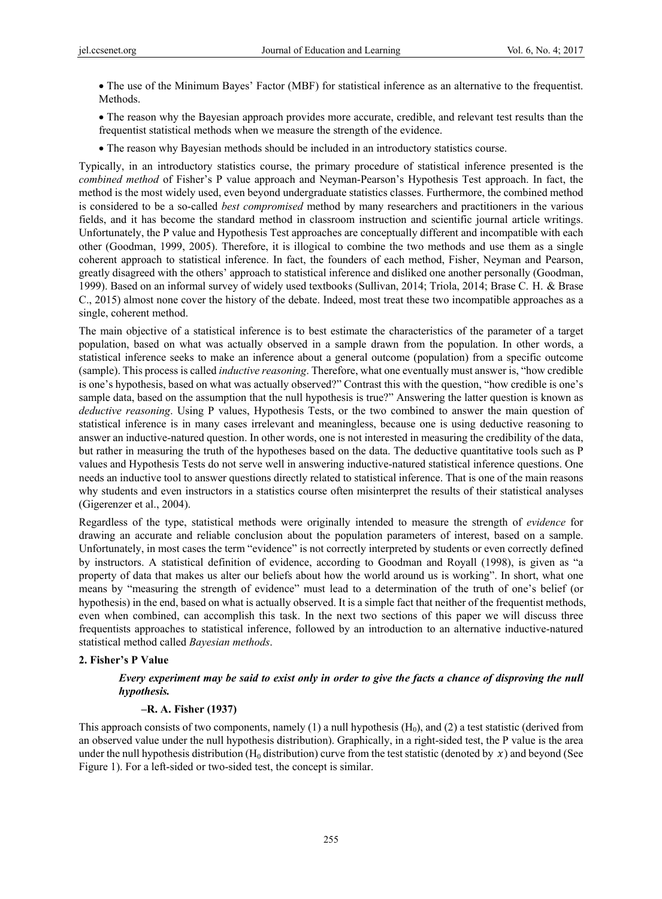The use of the Minimum Bayes' Factor (MBF) for statistical inference as an alternative to the frequentist. **Methods**.

 The reason why the Bayesian approach provides more accurate, credible, and relevant test results than the frequentist statistical methods when we measure the strength of the evidence.

The reason why Bayesian methods should be included in an introductory statistics course.

Typically, in an introductory statistics course, the primary procedure of statistical inference presented is the *combined method* of Fisher's P value approach and Neyman-Pearson's Hypothesis Test approach. In fact, the method is the most widely used, even beyond undergraduate statistics classes. Furthermore, the combined method is considered to be a so-called *best compromised* method by many researchers and practitioners in the various fields, and it has become the standard method in classroom instruction and scientific journal article writings. Unfortunately, the P value and Hypothesis Test approaches are conceptually different and incompatible with each other (Goodman, 1999, 2005). Therefore, it is illogical to combine the two methods and use them as a single coherent approach to statistical inference. In fact, the founders of each method, Fisher, Neyman and Pearson, greatly disagreed with the others' approach to statistical inference and disliked one another personally (Goodman, 1999). Based on an informal survey of widely used textbooks (Sullivan, 2014; Triola, 2014; Brase C. H. & Brase C., 2015) almost none cover the history of the debate. Indeed, most treat these two incompatible approaches as a single, coherent method.

The main objective of a statistical inference is to best estimate the characteristics of the parameter of a target population, based on what was actually observed in a sample drawn from the population. In other words, a statistical inference seeks to make an inference about a general outcome (population) from a specific outcome (sample). This process is called *inductive reasoning*. Therefore, what one eventually must answer is, "how credible is one's hypothesis, based on what was actually observed?" Contrast this with the question, "how credible is one's sample data, based on the assumption that the null hypothesis is true?" Answering the latter question is known as *deductive reasoning*. Using P values, Hypothesis Tests, or the two combined to answer the main question of statistical inference is in many cases irrelevant and meaningless, because one is using deductive reasoning to answer an inductive-natured question. In other words, one is not interested in measuring the credibility of the data, but rather in measuring the truth of the hypotheses based on the data. The deductive quantitative tools such as P values and Hypothesis Tests do not serve well in answering inductive-natured statistical inference questions. One needs an inductive tool to answer questions directly related to statistical inference. That is one of the main reasons why students and even instructors in a statistics course often misinterpret the results of their statistical analyses (Gigerenzer et al., 2004).

Regardless of the type, statistical methods were originally intended to measure the strength of *evidence* for drawing an accurate and reliable conclusion about the population parameters of interest, based on a sample. Unfortunately, in most cases the term "evidence" is not correctly interpreted by students or even correctly defined by instructors. A statistical definition of evidence, according to Goodman and Royall (1998), is given as "a property of data that makes us alter our beliefs about how the world around us is working". In short, what one means by "measuring the strength of evidence" must lead to a determination of the truth of one's belief (or hypothesis) in the end, based on what is actually observed. It is a simple fact that neither of the frequentist methods, even when combined, can accomplish this task. In the next two sections of this paper we will discuss three frequentists approaches to statistical inference, followed by an introduction to an alternative inductive-natured statistical method called *Bayesian methods*.

#### **2. Fisher's P Value**

# *Every experiment may be said to exist only in order to give the facts a chance of disproving the null hypothesis.*

#### **–R. A. Fisher (1937)**

This approach consists of two components, namely (1) a null hypothesis  $(H_0)$ , and (2) a test statistic (derived from an observed value under the null hypothesis distribution). Graphically, in a right-sided test, the P value is the area under the null hypothesis distribution (H<sub>0</sub> distribution) curve from the test statistic (denoted by  $x$ ) and beyond (See Figure 1). For a left-sided or two-sided test, the concept is similar.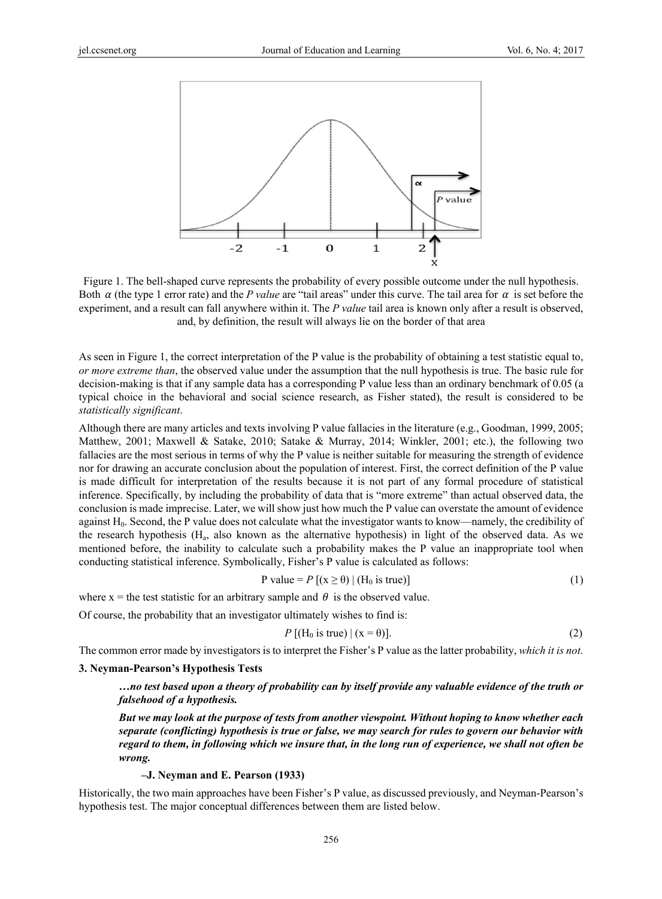

Figure 1. The bell-shaped curve represents the probability of every possible outcome under the null hypothesis. Both  $\alpha$  (the type 1 error rate) and the *P value* are "tail areas" under this curve. The tail area for  $\alpha$  is set before the experiment, and a result can fall anywhere within it. The *P value* tail area is known only after a result is observed, and, by definition, the result will always lie on the border of that area

As seen in Figure 1, the correct interpretation of the P value is the probability of obtaining a test statistic equal to, *or more extreme than*, the observed value under the assumption that the null hypothesis is true. The basic rule for decision-making is that if any sample data has a corresponding P value less than an ordinary benchmark of 0.05 (a typical choice in the behavioral and social science research, as Fisher stated), the result is considered to be *statistically significant*.

Although there are many articles and texts involving P value fallacies in the literature (e.g., Goodman, 1999, 2005; Matthew, 2001; Maxwell & Satake, 2010; Satake & Murray, 2014; Winkler, 2001; etc.), the following two fallacies are the most serious in terms of why the P value is neither suitable for measuring the strength of evidence nor for drawing an accurate conclusion about the population of interest. First, the correct definition of the P value is made difficult for interpretation of the results because it is not part of any formal procedure of statistical inference. Specifically, by including the probability of data that is "more extreme" than actual observed data, the conclusion is made imprecise. Later, we will show just how much the P value can overstate the amount of evidence against  $H_0$ . Second, the P value does not calculate what the investigator wants to know—namely, the credibility of the research hypothesis (Ha, also known as the alternative hypothesis) in light of the observed data. As we mentioned before, the inability to calculate such a probability makes the P value an inappropriate tool when conducting statistical inference. Symbolically, Fisher's P value is calculated as follows:

$$
P value = P [(x \ge \theta) | (H_0 \text{ is true})]
$$
 (1)

where  $x =$  the test statistic for an arbitrary sample and  $\theta$  is the observed value.

Of course, the probability that an investigator ultimately wishes to find is:

$$
P\left[\left(H_0 \text{ is true}\right) \mid \left(x = \theta\right)\right].\tag{2}
$$

The common error made by investigators is to interpret the Fisher's P value as the latter probability, *which it is not*.

## **3. Neyman-Pearson's Hypothesis Tests**

*…no test based upon a theory of probability can by itself provide any valuable evidence of the truth or falsehood of a hypothesis.* 

*But we may look at the purpose of tests from another viewpoint. Without hoping to know whether each separate (conflicting) hypothesis is true or false, we may search for rules to govern our behavior with regard to them, in following which we insure that, in the long run of experience, we shall not often be wrong.*

#### **–J. Neyman and E. Pearson (1933)**

Historically, the two main approaches have been Fisher's P value, as discussed previously, and Neyman-Pearson's hypothesis test. The major conceptual differences between them are listed below.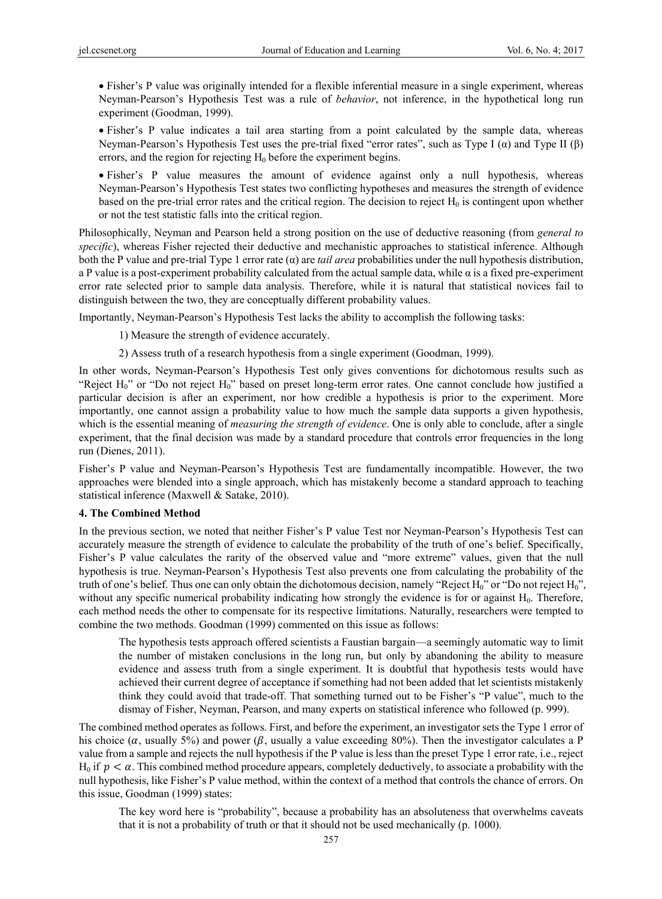Fisher's P value was originally intended for a flexible inferential measure in a single experiment, whereas Neyman-Pearson's Hypothesis Test was a rule of *behavior*, not inference, in the hypothetical long run experiment (Goodman, 1999).

 Fisher's P value indicates a tail area starting from a point calculated by the sample data, whereas Neyman-Pearson's Hypothesis Test uses the pre-trial fixed "error rates", such as Type I  $(\alpha)$  and Type II  $(\beta)$ errors, and the region for rejecting  $H_0$  before the experiment begins.

 Fisher's P value measures the amount of evidence against only a null hypothesis, whereas Neyman-Pearson's Hypothesis Test states two conflicting hypotheses and measures the strength of evidence based on the pre-trial error rates and the critical region. The decision to reject  $H_0$  is contingent upon whether or not the test statistic falls into the critical region.

Philosophically, Neyman and Pearson held a strong position on the use of deductive reasoning (from *general to specific*), whereas Fisher rejected their deductive and mechanistic approaches to statistical inference. Although both the P value and pre-trial Type 1 error rate (α) are *tail area* probabilities under the null hypothesis distribution, a P value is a post-experiment probability calculated from the actual sample data, while α is a fixed pre-experiment error rate selected prior to sample data analysis. Therefore, while it is natural that statistical novices fail to distinguish between the two, they are conceptually different probability values.

Importantly, Neyman-Pearson's Hypothesis Test lacks the ability to accomplish the following tasks:

1) Measure the strength of evidence accurately.

2) Assess truth of a research hypothesis from a single experiment (Goodman, 1999).

In other words, Neyman-Pearson's Hypothesis Test only gives conventions for dichotomous results such as "Reject H<sub>0</sub>" or "Do not reject H<sub>0</sub>" based on preset long-term error rates. One cannot conclude how justified a particular decision is after an experiment, nor how credible a hypothesis is prior to the experiment. More importantly, one cannot assign a probability value to how much the sample data supports a given hypothesis, which is the essential meaning of *measuring the strength of evidence*. One is only able to conclude, after a single experiment, that the final decision was made by a standard procedure that controls error frequencies in the long run (Dienes, 2011).

Fisher's P value and Neyman-Pearson's Hypothesis Test are fundamentally incompatible. However, the two approaches were blended into a single approach, which has mistakenly become a standard approach to teaching statistical inference (Maxwell & Satake, 2010).

# **4. The Combined Method**

In the previous section, we noted that neither Fisher's P value Test nor Neyman-Pearson's Hypothesis Test can accurately measure the strength of evidence to calculate the probability of the truth of one's belief. Specifically, Fisher's P value calculates the rarity of the observed value and "more extreme" values, given that the null hypothesis is true. Neyman-Pearson's Hypothesis Test also prevents one from calculating the probability of the truth of one's belief. Thus one can only obtain the dichotomous decision, namely "Reject  $H_0$ " or "Do not reject  $H_0$ ". without any specific numerical probability indicating how strongly the evidence is for or against H<sub>0</sub>. Therefore, each method needs the other to compensate for its respective limitations. Naturally, researchers were tempted to combine the two methods. Goodman (1999) commented on this issue as follows:

The hypothesis tests approach offered scientists a Faustian bargain—a seemingly automatic way to limit the number of mistaken conclusions in the long run, but only by abandoning the ability to measure evidence and assess truth from a single experiment. It is doubtful that hypothesis tests would have achieved their current degree of acceptance if something had not been added that let scientists mistakenly think they could avoid that trade-off. That something turned out to be Fisher's "P value", much to the dismay of Fisher, Neyman, Pearson, and many experts on statistical inference who followed (p. 999).

The combined method operates as follows. First, and before the experiment, an investigator sets the Type 1 error of his choice ( $\alpha$ , usually 5%) and power ( $\beta$ , usually a value exceeding 80%). Then the investigator calculates a P value from a sample and rejects the null hypothesis if the P value is less than the preset Type 1 error rate, i.e., reject H<sub>0</sub> if  $p < \alpha$ . This combined method procedure appears, completely deductively, to associate a probability with the null hypothesis, like Fisher's P value method, within the context of a method that controls the chance of errors. On this issue, Goodman (1999) states:

The key word here is "probability", because a probability has an absoluteness that overwhelms caveats that it is not a probability of truth or that it should not be used mechanically (p. 1000).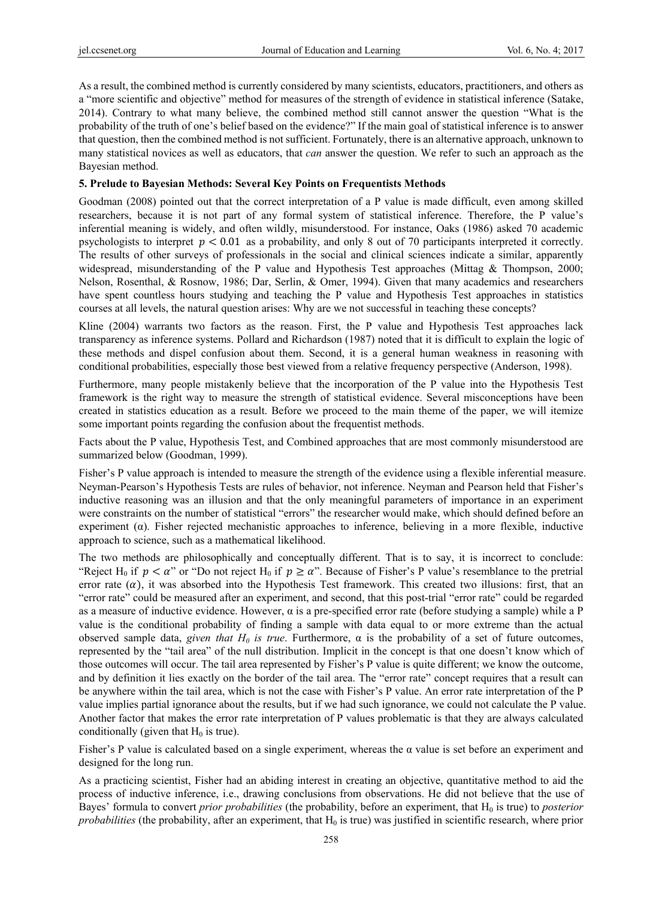As a result, the combined method is currently considered by many scientists, educators, practitioners, and others as a "more scientific and objective" method for measures of the strength of evidence in statistical inference (Satake, 2014). Contrary to what many believe, the combined method still cannot answer the question "What is the probability of the truth of one's belief based on the evidence?" If the main goal of statistical inference is to answer that question, then the combined method is not sufficient. Fortunately, there is an alternative approach, unknown to many statistical novices as well as educators, that *can* answer the question. We refer to such an approach as the Bayesian method.

# **5. Prelude to Bayesian Methods: Several Key Points on Frequentists Methods**

Goodman (2008) pointed out that the correct interpretation of a P value is made difficult, even among skilled researchers, because it is not part of any formal system of statistical inference. Therefore, the P value's inferential meaning is widely, and often wildly, misunderstood. For instance, Oaks (1986) asked 70 academic psychologists to interpret  $p < 0.01$  as a probability, and only 8 out of 70 participants interpreted it correctly. The results of other surveys of professionals in the social and clinical sciences indicate a similar, apparently widespread, misunderstanding of the P value and Hypothesis Test approaches (Mittag & Thompson, 2000; Nelson, Rosenthal, & Rosnow, 1986; Dar, Serlin, & Omer, 1994). Given that many academics and researchers have spent countless hours studying and teaching the P value and Hypothesis Test approaches in statistics courses at all levels, the natural question arises: Why are we not successful in teaching these concepts?

Kline (2004) warrants two factors as the reason. First, the P value and Hypothesis Test approaches lack transparency as inference systems. Pollard and Richardson (1987) noted that it is difficult to explain the logic of these methods and dispel confusion about them. Second, it is a general human weakness in reasoning with conditional probabilities, especially those best viewed from a relative frequency perspective (Anderson, 1998).

Furthermore, many people mistakenly believe that the incorporation of the P value into the Hypothesis Test framework is the right way to measure the strength of statistical evidence. Several misconceptions have been created in statistics education as a result. Before we proceed to the main theme of the paper, we will itemize some important points regarding the confusion about the frequentist methods.

Facts about the P value, Hypothesis Test, and Combined approaches that are most commonly misunderstood are summarized below (Goodman, 1999).

Fisher's P value approach is intended to measure the strength of the evidence using a flexible inferential measure. Neyman-Pearson's Hypothesis Tests are rules of behavior, not inference. Neyman and Pearson held that Fisher's inductive reasoning was an illusion and that the only meaningful parameters of importance in an experiment were constraints on the number of statistical "errors" the researcher would make, which should defined before an experiment ( $\alpha$ ). Fisher rejected mechanistic approaches to inference, believing in a more flexible, inductive approach to science, such as a mathematical likelihood.

The two methods are philosophically and conceptually different. That is to say, it is incorrect to conclude: "Reject H<sub>0</sub> if  $p < \alpha$ " or "Do not reject H<sub>0</sub> if  $p \ge \alpha$ ". Because of Fisher's P value's resemblance to the pretrial error rate  $(\alpha)$ , it was absorbed into the Hypothesis Test framework. This created two illusions: first, that an "error rate" could be measured after an experiment, and second, that this post-trial "error rate" could be regarded as a measure of inductive evidence. However,  $\alpha$  is a pre-specified error rate (before studying a sample) while a P value is the conditional probability of finding a sample with data equal to or more extreme than the actual observed sample data, *given that H<sub>0</sub> is true*. Furthermore,  $\alpha$  is the probability of a set of future outcomes, represented by the "tail area" of the null distribution. Implicit in the concept is that one doesn't know which of those outcomes will occur. The tail area represented by Fisher's P value is quite different; we know the outcome, and by definition it lies exactly on the border of the tail area. The "error rate" concept requires that a result can be anywhere within the tail area, which is not the case with Fisher's P value. An error rate interpretation of the P value implies partial ignorance about the results, but if we had such ignorance, we could not calculate the P value. Another factor that makes the error rate interpretation of P values problematic is that they are always calculated conditionally (given that  $H_0$  is true).

Fisher's P value is calculated based on a single experiment, whereas the  $\alpha$  value is set before an experiment and designed for the long run.

As a practicing scientist, Fisher had an abiding interest in creating an objective, quantitative method to aid the process of inductive inference, i.e., drawing conclusions from observations. He did not believe that the use of Bayes' formula to convert *prior probabilities* (the probability, before an experiment, that H<sub>0</sub> is true) to *posterior probabilities* (the probability, after an experiment, that  $H_0$  is true) was justified in scientific research, where prior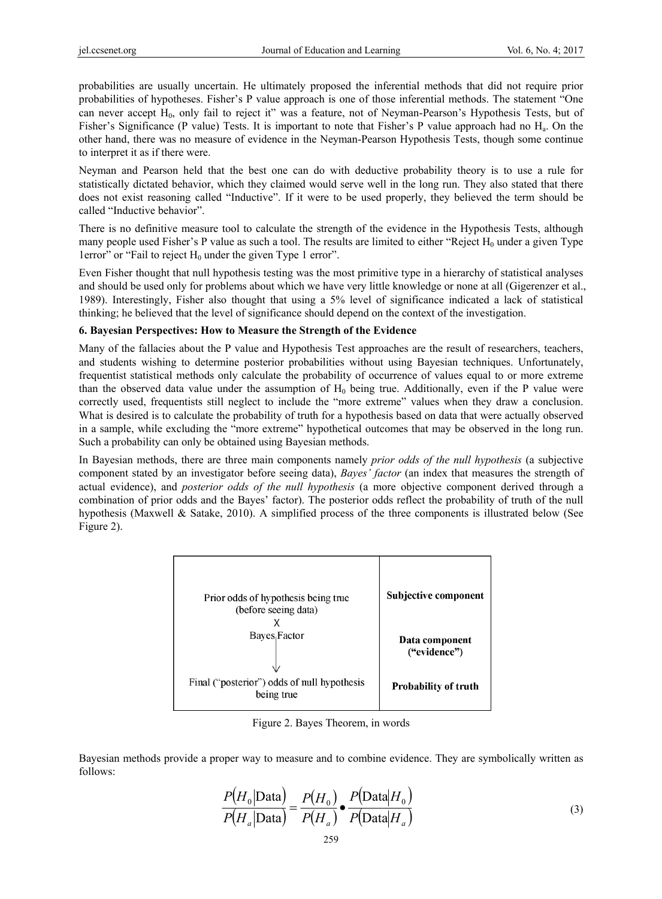probabilities are usually uncertain. He ultimately proposed the inferential methods that did not require prior probabilities of hypotheses. Fisher's P value approach is one of those inferential methods. The statement "One can never accept H<sub>0</sub>, only fail to reject it" was a feature, not of Neyman-Pearson's Hypothesis Tests, but of Fisher's Significance (P value) Tests. It is important to note that Fisher's P value approach had no Ha. On the other hand, there was no measure of evidence in the Neyman-Pearson Hypothesis Tests, though some continue to interpret it as if there were.

Neyman and Pearson held that the best one can do with deductive probability theory is to use a rule for statistically dictated behavior, which they claimed would serve well in the long run. They also stated that there does not exist reasoning called "Inductive". If it were to be used properly, they believed the term should be called "Inductive behavior".

There is no definitive measure tool to calculate the strength of the evidence in the Hypothesis Tests, although many people used Fisher's P value as such a tool. The results are limited to either "Reject  $H_0$  under a given Type 1error" or "Fail to reject  $H_0$  under the given Type 1 error".

Even Fisher thought that null hypothesis testing was the most primitive type in a hierarchy of statistical analyses and should be used only for problems about which we have very little knowledge or none at all (Gigerenzer et al., 1989). Interestingly, Fisher also thought that using a 5% level of significance indicated a lack of statistical thinking; he believed that the level of significance should depend on the context of the investigation.

# **6. Bayesian Perspectives: How to Measure the Strength of the Evidence**

Many of the fallacies about the P value and Hypothesis Test approaches are the result of researchers, teachers, and students wishing to determine posterior probabilities without using Bayesian techniques. Unfortunately, frequentist statistical methods only calculate the probability of occurrence of values equal to or more extreme than the observed data value under the assumption of  $H_0$  being true. Additionally, even if the P value were correctly used, frequentists still neglect to include the "more extreme" values when they draw a conclusion. What is desired is to calculate the probability of truth for a hypothesis based on data that were actually observed in a sample, while excluding the "more extreme" hypothetical outcomes that may be observed in the long run. Such a probability can only be obtained using Bayesian methods.

In Bayesian methods, there are three main components namely *prior odds of the null hypothesis* (a subjective component stated by an investigator before seeing data), *Bayes' factor* (an index that measures the strength of actual evidence), and *posterior odds of the null hypothesis* (a more objective component derived through a combination of prior odds and the Bayes' factor). The posterior odds reflect the probability of truth of the null hypothesis (Maxwell & Satake, 2010). A simplified process of the three components is illustrated below (See Figure 2).



Figure 2. Bayes Theorem, in words

Bayesian methods provide a proper way to measure and to combine evidence. They are symbolically written as follows:

$$
\frac{P(H_0|\text{Data})}{P(H_a|\text{Data})} = \frac{P(H_0)}{P(H_a)} \bullet \frac{P(\text{Data}|H_0)}{P(\text{Data}|H_a)}
$$
(3)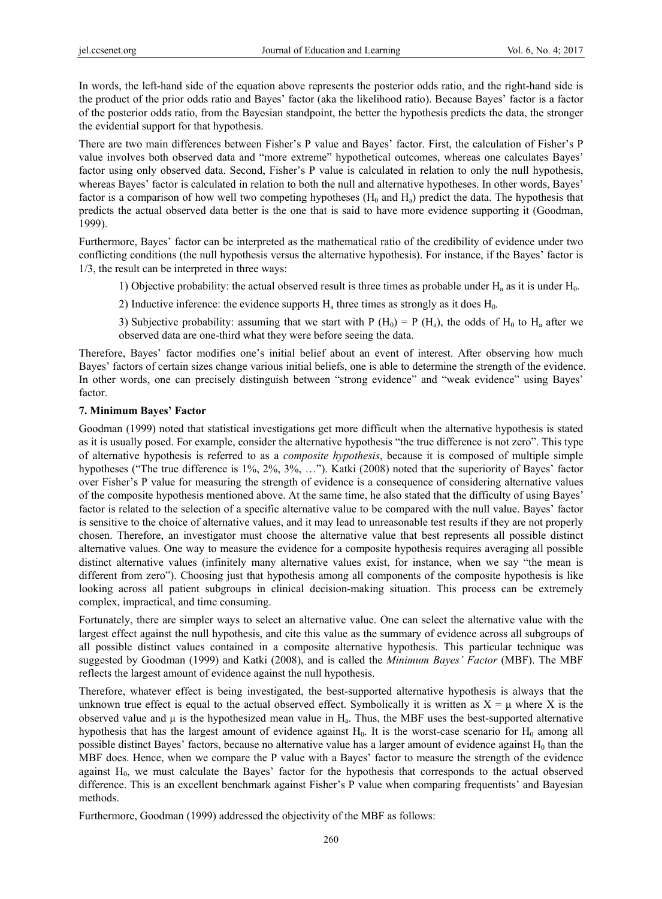In words, the left-hand side of the equation above represents the posterior odds ratio, and the right-hand side is the product of the prior odds ratio and Bayes' factor (aka the likelihood ratio). Because Bayes' factor is a factor of the posterior odds ratio, from the Bayesian standpoint, the better the hypothesis predicts the data, the stronger the evidential support for that hypothesis.

There are two main differences between Fisher's P value and Bayes' factor. First, the calculation of Fisher's P value involves both observed data and "more extreme" hypothetical outcomes, whereas one calculates Bayes' factor using only observed data. Second, Fisher's P value is calculated in relation to only the null hypothesis, whereas Bayes' factor is calculated in relation to both the null and alternative hypotheses. In other words, Bayes' factor is a comparison of how well two competing hypotheses  $(H_0$  and  $H_a)$  predict the data. The hypothesis that predicts the actual observed data better is the one that is said to have more evidence supporting it (Goodman, 1999).

Furthermore, Bayes' factor can be interpreted as the mathematical ratio of the credibility of evidence under two conflicting conditions (the null hypothesis versus the alternative hypothesis). For instance, if the Bayes' factor is 1/3, the result can be interpreted in three ways:

- 1) Objective probability: the actual observed result is three times as probable under  $H_a$  as it is under  $H_0$ .
- 2) Inductive inference: the evidence supports  $H_a$  three times as strongly as it does  $H_0$ .
- 3) Subjective probability: assuming that we start with P (H<sub>0</sub>) = P (H<sub>a</sub>), the odds of H<sub>0</sub> to H<sub>a</sub> after we observed data are one-third what they were before seeing the data.

Therefore, Bayes' factor modifies one's initial belief about an event of interest. After observing how much Bayes' factors of certain sizes change various initial beliefs, one is able to determine the strength of the evidence. In other words, one can precisely distinguish between "strong evidence" and "weak evidence" using Bayes' factor.

#### **7. Minimum Bayes' Factor**

Goodman (1999) noted that statistical investigations get more difficult when the alternative hypothesis is stated as it is usually posed. For example, consider the alternative hypothesis "the true difference is not zero". This type of alternative hypothesis is referred to as a *composite hypothesis*, because it is composed of multiple simple hypotheses ("The true difference is 1%, 2%, 3%, …"). Katki (2008) noted that the superiority of Bayes' factor over Fisher's P value for measuring the strength of evidence is a consequence of considering alternative values of the composite hypothesis mentioned above. At the same time, he also stated that the difficulty of using Bayes' factor is related to the selection of a specific alternative value to be compared with the null value. Bayes' factor is sensitive to the choice of alternative values, and it may lead to unreasonable test results if they are not properly chosen. Therefore, an investigator must choose the alternative value that best represents all possible distinct alternative values. One way to measure the evidence for a composite hypothesis requires averaging all possible distinct alternative values (infinitely many alternative values exist, for instance, when we say "the mean is different from zero"). Choosing just that hypothesis among all components of the composite hypothesis is like looking across all patient subgroups in clinical decision-making situation. This process can be extremely complex, impractical, and time consuming.

Fortunately, there are simpler ways to select an alternative value. One can select the alternative value with the largest effect against the null hypothesis, and cite this value as the summary of evidence across all subgroups of all possible distinct values contained in a composite alternative hypothesis. This particular technique was suggested by Goodman (1999) and Katki (2008), and is called the *Minimum Bayes' Factor* (MBF). The MBF reflects the largest amount of evidence against the null hypothesis.

Therefore, whatever effect is being investigated, the best-supported alternative hypothesis is always that the unknown true effect is equal to the actual observed effect. Symbolically it is written as  $X = \mu$  where X is the observed value and  $\mu$  is the hypothesized mean value in  $H_a$ . Thus, the MBF uses the best-supported alternative hypothesis that has the largest amount of evidence against  $H_0$ . It is the worst-case scenario for  $H_0$  among all possible distinct Bayes' factors, because no alternative value has a larger amount of evidence against  $H_0$  than the MBF does. Hence, when we compare the P value with a Bayes' factor to measure the strength of the evidence against  $H_0$ , we must calculate the Bayes' factor for the hypothesis that corresponds to the actual observed difference. This is an excellent benchmark against Fisher's P value when comparing frequentists' and Bayesian methods.

Furthermore, Goodman (1999) addressed the objectivity of the MBF as follows: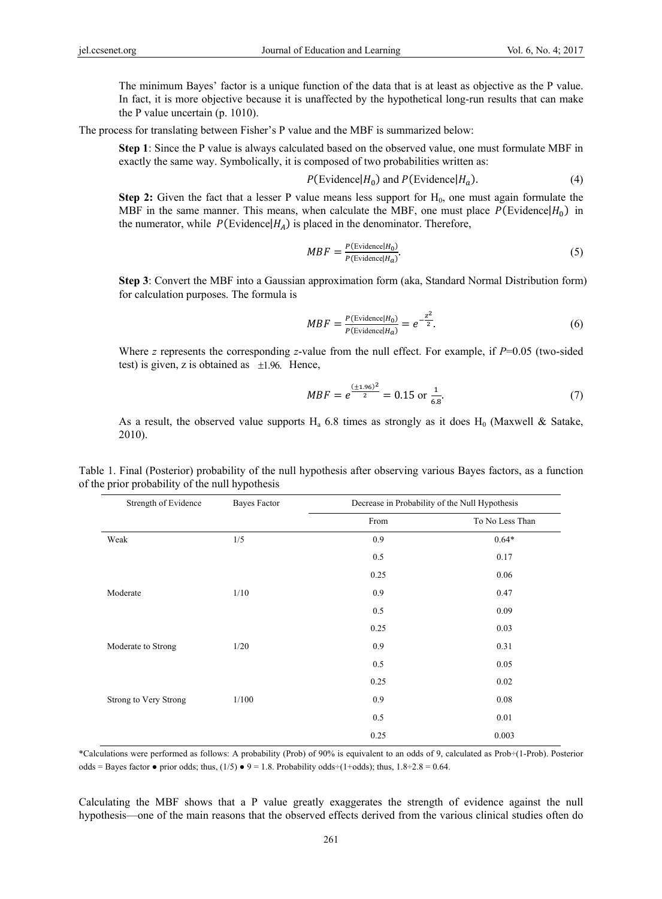The minimum Bayes' factor is a unique function of the data that is at least as objective as the P value. In fact, it is more objective because it is unaffected by the hypothetical long-run results that can make the P value uncertain (p. 1010).

The process for translating between Fisher's P value and the MBF is summarized below:

**Step 1**: Since the P value is always calculated based on the observed value, one must formulate MBF in exactly the same way. Symbolically, it is composed of two probabilities written as:

$$
P(\text{Evidence}|H_0) \text{ and } P(\text{Evidence}|H_a).
$$
 (4)

**Step 2:** Given the fact that a lesser P value means less support for  $H_0$ , one must again formulate the MBF in the same manner. This means, when calculate the MBF, one must place  $P(\text{Evidence}|H_0)$  in the numerator, while  $P(\text{Evidence}|H_A)$  is placed in the denominator. Therefore,

$$
MBF = \frac{P(\text{Evidence}|H_0)}{P(\text{Evidence}|H_a)}.
$$
\n(5)

**Step 3**: Convert the MBF into a Gaussian approximation form (aka, Standard Normal Distribution form) for calculation purposes. The formula is

$$
MBF = \frac{P(\text{Evidence}|H_0)}{P(\text{Evidence}|H_a)} = e^{-\frac{z^2}{2}}.
$$
\n
$$
(6)
$$

Where *z* represents the corresponding *z*-value from the null effect. For example, if *P*=0.05 (two-sided test) is given, z is obtained as  $\pm 1.96$ . Hence,

$$
MBF = e^{\frac{(\pm 1.96)^2}{2}} = 0.15 \text{ or } \frac{1}{6.8}.
$$
 (7)

As a result, the observed value supports  $H_a$  6.8 times as strongly as it does  $H_0$  (Maxwell & Satake, 2010).

| Strength of Evidence  | Bayes Factor | Decrease in Probability of the Null Hypothesis |                 |
|-----------------------|--------------|------------------------------------------------|-----------------|
|                       |              | From                                           | To No Less Than |
| Weak                  | 1/5          | 0.9                                            | $0.64*$         |
|                       |              | 0.5                                            | 0.17            |
|                       |              | 0.25                                           | 0.06            |
| Moderate              | 1/10         | 0.9                                            | 0.47            |
|                       |              | 0.5                                            | 0.09            |
|                       |              | 0.25                                           | 0.03            |
| Moderate to Strong    | 1/20         | 0.9                                            | 0.31            |
|                       |              | 0.5                                            | 0.05            |
|                       |              | 0.25                                           | 0.02            |
| Strong to Very Strong | 1/100        | 0.9                                            | 0.08            |
|                       |              | 0.5                                            | 0.01            |
|                       |              | 0.25                                           | 0.003           |

Table 1. Final (Posterior) probability of the null hypothesis after observing various Bayes factors, as a function of the prior probability of the null hypothesis

\*Calculations were performed as follows: A probability (Prob) of 90% is equivalent to an odds of 9, calculated as Prob÷(1-Prob). Posterior odds = Bayes factor • prior odds; thus,  $(1/5)$  •  $9 = 1.8$ . Probability odds÷ $(1+\text{odds})$ ; thus,  $1.8\div 2.8 = 0.64$ .

Calculating the MBF shows that a P value greatly exaggerates the strength of evidence against the null hypothesis—one of the main reasons that the observed effects derived from the various clinical studies often do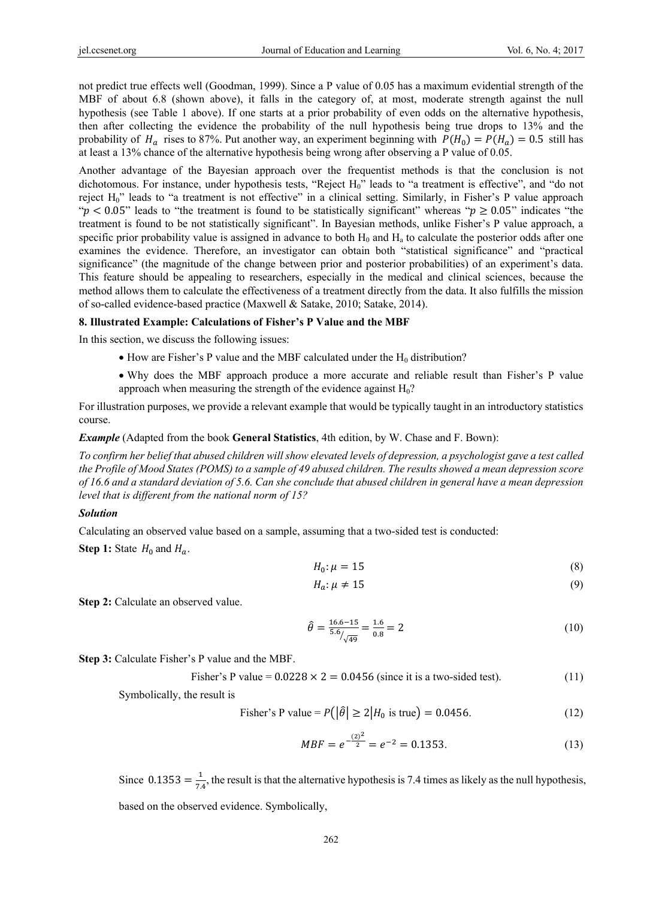not predict true effects well (Goodman, 1999). Since a P value of 0.05 has a maximum evidential strength of the MBF of about 6.8 (shown above), it falls in the category of, at most, moderate strength against the null hypothesis (see Table 1 above). If one starts at a prior probability of even odds on the alternative hypothesis, then after collecting the evidence the probability of the null hypothesis being true drops to 13% and the probability of  $H_a$  rises to 87%. Put another way, an experiment beginning with  $P(H_0) = P(H_a) = 0.5$  still has at least a 13% chance of the alternative hypothesis being wrong after observing a P value of 0.05.

Another advantage of the Bayesian approach over the frequentist methods is that the conclusion is not dichotomous. For instance, under hypothesis tests, "Reject H<sub>0</sub>" leads to "a treatment is effective", and "do not reject H<sub>0</sub>" leads to "a treatment is not effective" in a clinical setting. Similarly, in Fisher's P value approach " $p < 0.05$ " leads to "the treatment is found to be statistically significant" whereas " $p \ge 0.05$ " indicates "the treatment is found to be not statistically significant". In Bayesian methods, unlike Fisher's P value approach, a specific prior probability value is assigned in advance to both  $H_0$  and  $H_a$  to calculate the posterior odds after one examines the evidence. Therefore, an investigator can obtain both "statistical significance" and "practical significance" (the magnitude of the change between prior and posterior probabilities) of an experiment's data. This feature should be appealing to researchers, especially in the medical and clinical sciences, because the method allows them to calculate the effectiveness of a treatment directly from the data. It also fulfills the mission of so-called evidence-based practice (Maxwell & Satake, 2010; Satake, 2014).

### **8. Illustrated Example: Calculations of Fisher's P Value and the MBF**

In this section, we discuss the following issues:

- How are Fisher's P value and the MBF calculated under the  $H_0$  distribution?
- Why does the MBF approach produce a more accurate and reliable result than Fisher's P value approach when measuring the strength of the evidence against  $H_0$ ?

For illustration purposes, we provide a relevant example that would be typically taught in an introductory statistics course.

*Example* (Adapted from the book **General Statistics**, 4th edition, by W. Chase and F. Bown):

*To confirm her belief that abused children will show elevated levels of depression, a psychologist gave a test called the Profile of Mood States (POMS) to a sample of 49 abused children. The results showed a mean depression score of 16.6 and a standard deviation of 5.6. Can she conclude that abused children in general have a mean depression level that is different from the national norm of 15?* 

# *Solution*

Calculating an observed value based on a sample, assuming that a two-sided test is conducted:

**Step 1:** State  $H_0$  and  $H_a$ .

$$
H_0: \mu = 15 \tag{8}
$$

$$
H_a: \mu \neq 15 \tag{9}
$$

**Step 2:** Calculate an observed value.

$$
\hat{\theta} = \frac{16.6 - 15}{5.6} = \frac{1.6}{0.8} = 2\tag{10}
$$

**Step 3:** Calculate Fisher's P value and the MBF.

Fisher's P value = 
$$
0.0228 \times 2 = 0.0456
$$
 (since it is a two-sided test). (11)

Symbolically, the result is

Fisher's P value = 
$$
P(|\hat{\theta}| \ge 2|H_0 \text{ is true}) = 0.0456.
$$
 (12)

$$
MBF = e^{-\frac{(2)^2}{2}} = e^{-2} = 0.1353.
$$
 (13)

Since 0.1353  $=\frac{1}{7.4}$ , the result is that the alternative hypothesis is 7.4 times as likely as the null hypothesis,

based on the observed evidence. Symbolically,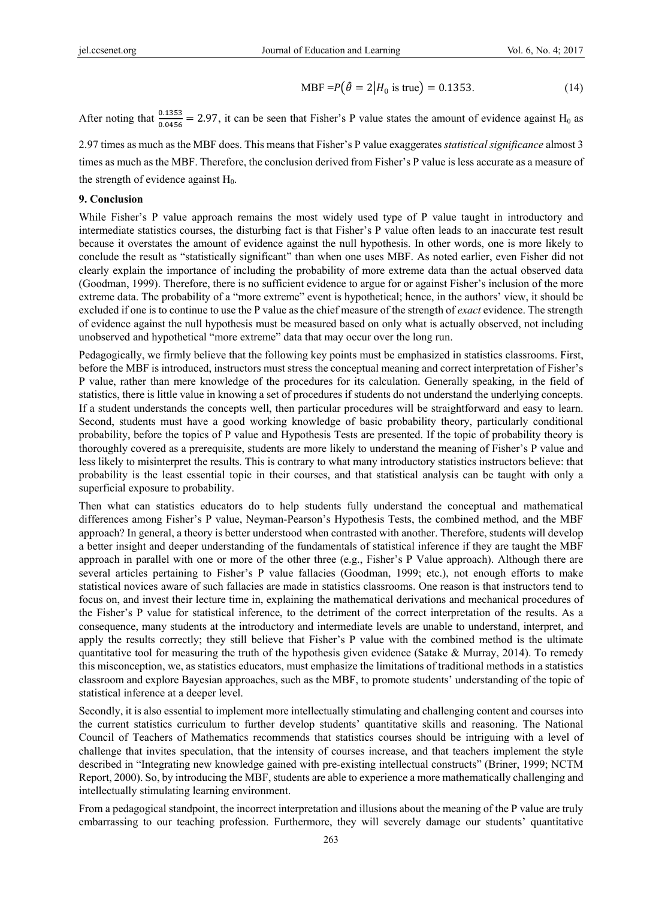$$
MBF = P(\hat{\theta} = 2 | H_0 \text{ is true}) = 0.1353. \tag{14}
$$

After noting that  $\frac{0.1353}{0.0456}$  = 2.97, it can be seen that Fisher's P value states the amount of evidence against H<sub>0</sub> as

2.97 times as much as the MBF does. This means that Fisher's P value exaggerates *statistical significance* almost 3 times as much as the MBF. Therefore, the conclusion derived from Fisher's P value is less accurate as a measure of the strength of evidence against  $H_0$ .

#### **9. Conclusion**

While Fisher's P value approach remains the most widely used type of P value taught in introductory and intermediate statistics courses, the disturbing fact is that Fisher's P value often leads to an inaccurate test result because it overstates the amount of evidence against the null hypothesis. In other words, one is more likely to conclude the result as "statistically significant" than when one uses MBF. As noted earlier, even Fisher did not clearly explain the importance of including the probability of more extreme data than the actual observed data (Goodman, 1999). Therefore, there is no sufficient evidence to argue for or against Fisher's inclusion of the more extreme data. The probability of a "more extreme" event is hypothetical; hence, in the authors' view, it should be excluded if one is to continue to use the P value as the chief measure of the strength of *exact* evidence. The strength of evidence against the null hypothesis must be measured based on only what is actually observed, not including unobserved and hypothetical "more extreme" data that may occur over the long run.

Pedagogically, we firmly believe that the following key points must be emphasized in statistics classrooms. First, before the MBF is introduced, instructors must stress the conceptual meaning and correct interpretation of Fisher's P value, rather than mere knowledge of the procedures for its calculation. Generally speaking, in the field of statistics, there is little value in knowing a set of procedures if students do not understand the underlying concepts. If a student understands the concepts well, then particular procedures will be straightforward and easy to learn. Second, students must have a good working knowledge of basic probability theory, particularly conditional probability, before the topics of P value and Hypothesis Tests are presented. If the topic of probability theory is thoroughly covered as a prerequisite, students are more likely to understand the meaning of Fisher's P value and less likely to misinterpret the results. This is contrary to what many introductory statistics instructors believe: that probability is the least essential topic in their courses, and that statistical analysis can be taught with only a superficial exposure to probability.

Then what can statistics educators do to help students fully understand the conceptual and mathematical differences among Fisher's P value, Neyman-Pearson's Hypothesis Tests, the combined method, and the MBF approach? In general, a theory is better understood when contrasted with another. Therefore, students will develop a better insight and deeper understanding of the fundamentals of statistical inference if they are taught the MBF approach in parallel with one or more of the other three (e.g., Fisher's P Value approach). Although there are several articles pertaining to Fisher's P value fallacies (Goodman, 1999; etc.), not enough efforts to make statistical novices aware of such fallacies are made in statistics classrooms. One reason is that instructors tend to focus on, and invest their lecture time in, explaining the mathematical derivations and mechanical procedures of the Fisher's P value for statistical inference, to the detriment of the correct interpretation of the results. As a consequence, many students at the introductory and intermediate levels are unable to understand, interpret, and apply the results correctly; they still believe that Fisher's P value with the combined method is the ultimate quantitative tool for measuring the truth of the hypothesis given evidence (Satake  $\&$  Murray, 2014). To remedy this misconception, we, as statistics educators, must emphasize the limitations of traditional methods in a statistics classroom and explore Bayesian approaches, such as the MBF, to promote students' understanding of the topic of statistical inference at a deeper level.

Secondly, it is also essential to implement more intellectually stimulating and challenging content and courses into the current statistics curriculum to further develop students' quantitative skills and reasoning. The National Council of Teachers of Mathematics recommends that statistics courses should be intriguing with a level of challenge that invites speculation, that the intensity of courses increase, and that teachers implement the style described in "Integrating new knowledge gained with pre-existing intellectual constructs" (Briner, 1999; NCTM Report, 2000). So, by introducing the MBF, students are able to experience a more mathematically challenging and intellectually stimulating learning environment.

From a pedagogical standpoint, the incorrect interpretation and illusions about the meaning of the P value are truly embarrassing to our teaching profession. Furthermore, they will severely damage our students' quantitative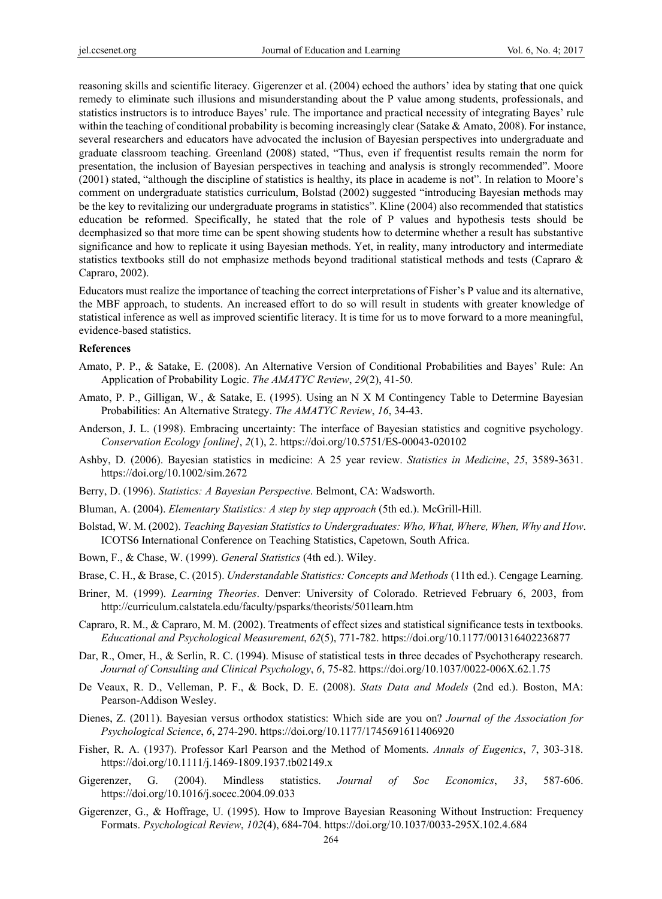reasoning skills and scientific literacy. Gigerenzer et al. (2004) echoed the authors' idea by stating that one quick remedy to eliminate such illusions and misunderstanding about the P value among students, professionals, and statistics instructors is to introduce Bayes' rule. The importance and practical necessity of integrating Bayes' rule within the teaching of conditional probability is becoming increasingly clear (Satake  $\&$  Amato, 2008). For instance, several researchers and educators have advocated the inclusion of Bayesian perspectives into undergraduate and graduate classroom teaching. Greenland (2008) stated, "Thus, even if frequentist results remain the norm for presentation, the inclusion of Bayesian perspectives in teaching and analysis is strongly recommended". Moore (2001) stated, "although the discipline of statistics is healthy, its place in academe is not". In relation to Moore's comment on undergraduate statistics curriculum, Bolstad (2002) suggested "introducing Bayesian methods may be the key to revitalizing our undergraduate programs in statistics". Kline (2004) also recommended that statistics education be reformed. Specifically, he stated that the role of P values and hypothesis tests should be deemphasized so that more time can be spent showing students how to determine whether a result has substantive significance and how to replicate it using Bayesian methods. Yet, in reality, many introductory and intermediate statistics textbooks still do not emphasize methods beyond traditional statistical methods and tests (Capraro & Capraro, 2002).

Educators must realize the importance of teaching the correct interpretations of Fisher's P value and its alternative, the MBF approach, to students. An increased effort to do so will result in students with greater knowledge of statistical inference as well as improved scientific literacy. It is time for us to move forward to a more meaningful, evidence-based statistics.

#### **References**

- Amato, P. P., & Satake, E. (2008). An Alternative Version of Conditional Probabilities and Bayes' Rule: An Application of Probability Logic. *The AMATYC Review*, *29*(2), 41-50.
- Amato, P. P., Gilligan, W., & Satake, E. (1995). Using an N X M Contingency Table to Determine Bayesian Probabilities: An Alternative Strategy. *The AMATYC Review*, *16*, 34-43.
- Anderson, J. L. (1998). Embracing uncertainty: The interface of Bayesian statistics and cognitive psychology. *Conservation Ecology [online]*, *2*(1), 2. https://doi.org/10.5751/ES-00043-020102
- Ashby, D. (2006). Bayesian statistics in medicine: A 25 year review. *Statistics in Medicine*, *25*, 3589-3631. https://doi.org/10.1002/sim.2672
- Berry, D. (1996). *Statistics: A Bayesian Perspective*. Belmont, CA: Wadsworth.
- Bluman, A. (2004). *Elementary Statistics: A step by step approach* (5th ed.). McGrill-Hill.
- Bolstad, W. M. (2002). *Teaching Bayesian Statistics to Undergraduates: Who, What, Where, When, Why and How*. ICOTS6 International Conference on Teaching Statistics, Capetown, South Africa.
- Bown, F., & Chase, W. (1999). *General Statistics* (4th ed.). Wiley.
- Brase, C. H., & Brase, C. (2015). *Understandable Statistics: Concepts and Methods* (11th ed.). Cengage Learning.
- Briner, M. (1999). *Learning Theories*. Denver: University of Colorado. Retrieved February 6, 2003, from http://curriculum.calstatela.edu/faculty/psparks/theorists/501learn.htm
- Capraro, R. M., & Capraro, M. M. (2002). Treatments of effect sizes and statistical significance tests in textbooks. *Educational and Psychological Measurement*, *62*(5), 771-782. https://doi.org/10.1177/001316402236877
- Dar, R., Omer, H., & Serlin, R. C. (1994). Misuse of statistical tests in three decades of Psychotherapy research. *Journal of Consulting and Clinical Psychology*, *6*, 75-82. https://doi.org/10.1037/0022-006X.62.1.75
- De Veaux, R. D., Velleman, P. F., & Bock, D. E. (2008). *Stats Data and Models* (2nd ed.). Boston, MA: Pearson-Addison Wesley.
- Dienes, Z. (2011). Bayesian versus orthodox statistics: Which side are you on? *Journal of the Association for Psychological Science*, *6*, 274-290. https://doi.org/10.1177/1745691611406920
- Fisher, R. A. (1937). Professor Karl Pearson and the Method of Moments. *Annals of Eugenics*, *7*, 303-318. https://doi.org/10.1111/j.1469-1809.1937.tb02149.x
- Gigerenzer, G. (2004). Mindless statistics. *Journal of Soc Economics*, *33*, 587-606. https://doi.org/10.1016/j.socec.2004.09.033
- Gigerenzer, G., & Hoffrage, U. (1995). How to Improve Bayesian Reasoning Without Instruction: Frequency Formats. *Psychological Review*, *102*(4), 684-704. https://doi.org/10.1037/0033-295X.102.4.684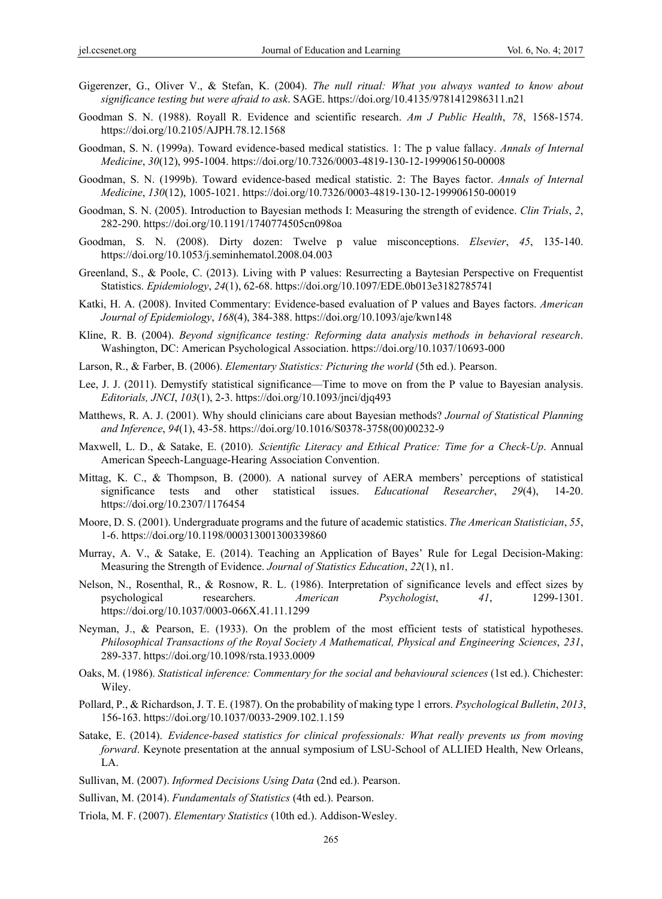- Gigerenzer, G., Oliver V., & Stefan, K. (2004). *The null ritual: What you always wanted to know about significance testing but were afraid to ask*. SAGE. https://doi.org/10.4135/9781412986311.n21
- Goodman S. N. (1988). Royall R. Evidence and scientific research. *Am J Public Health*, *78*, 1568-1574. https://doi.org/10.2105/AJPH.78.12.1568
- Goodman, S. N. (1999a). Toward evidence-based medical statistics. 1: The p value fallacy. *Annals of Internal Medicine*, *30*(12), 995-1004. https://doi.org/10.7326/0003-4819-130-12-199906150-00008
- Goodman, S. N. (1999b). Toward evidence-based medical statistic. 2: The Bayes factor. *Annals of Internal Medicine*, *130*(12), 1005-1021. https://doi.org/10.7326/0003-4819-130-12-199906150-00019
- Goodman, S. N. (2005). Introduction to Bayesian methods I: Measuring the strength of evidence. *Clin Trials*, *2*, 282-290. https://doi.org/10.1191/1740774505cn098oa
- Goodman, S. N. (2008). Dirty dozen: Twelve p value misconceptions. *Elsevier*, *45*, 135-140. https://doi.org/10.1053/j.seminhematol.2008.04.003
- Greenland, S., & Poole, C. (2013). Living with P values: Resurrecting a Baytesian Perspective on Frequentist Statistics. *Epidemiology*, *24*(1), 62-68. https://doi.org/10.1097/EDE.0b013e3182785741
- Katki, H. A. (2008). Invited Commentary: Evidence-based evaluation of P values and Bayes factors. *American Journal of Epidemiology*, *168*(4), 384-388. https://doi.org/10.1093/aje/kwn148
- Kline, R. B. (2004). *Beyond significance testing: Reforming data analysis methods in behavioral research*. Washington, DC: American Psychological Association. https://doi.org/10.1037/10693-000
- Larson, R., & Farber, B. (2006). *Elementary Statistics: Picturing the world* (5th ed.). Pearson.
- Lee, J. J. (2011). Demystify statistical significance—Time to move on from the P value to Bayesian analysis. *Editorials, JNCI*, *103*(1), 2-3. https://doi.org/10.1093/jnci/djq493
- Matthews, R. A. J. (2001). Why should clinicians care about Bayesian methods? *Journal of Statistical Planning and Inference*, *94*(1), 43-58. https://doi.org/10.1016/S0378-3758(00)00232-9
- Maxwell, L. D., & Satake, E. (2010). *Scientific Literacy and Ethical Pratice: Time for a Check-Up*. Annual American Speech-Language-Hearing Association Convention.
- Mittag, K. C., & Thompson, B. (2000). A national survey of AERA members' perceptions of statistical significance tests and other statistical issues. *Educational Researcher*, *29*(4), 14-20. https://doi.org/10.2307/1176454
- Moore, D. S. (2001). Undergraduate programs and the future of academic statistics. *The American Statistician*, *55*, 1-6. https://doi.org/10.1198/000313001300339860
- Murray, A. V., & Satake, E. (2014). Teaching an Application of Bayes' Rule for Legal Decision-Making: Measuring the Strength of Evidence. *Journal of Statistics Education*, *22*(1), n1.
- Nelson, N., Rosenthal, R., & Rosnow, R. L. (1986). Interpretation of significance levels and effect sizes by psychological researchers. *American Psychologist*, *41*, 1299-1301. https://doi.org/10.1037/0003-066X.41.11.1299
- Neyman, J., & Pearson, E. (1933). On the problem of the most efficient tests of statistical hypotheses. *Philosophical Transactions of the Royal Society A Mathematical, Physical and Engineering Sciences*, *231*, 289-337. https://doi.org/10.1098/rsta.1933.0009
- Oaks, M. (1986). *Statistical inference: Commentary for the social and behavioural sciences* (1st ed.). Chichester: Wiley.
- Pollard, P., & Richardson, J. T. E. (1987). On the probability of making type 1 errors. *Psychological Bulletin*, *2013*, 156-163. https://doi.org/10.1037/0033-2909.102.1.159
- Satake, E. (2014). *Evidence-based statistics for clinical professionals: What really prevents us from moving forward*. Keynote presentation at the annual symposium of LSU-School of ALLIED Health, New Orleans, LA.
- Sullivan, M. (2007). *Informed Decisions Using Data* (2nd ed.). Pearson.
- Sullivan, M. (2014). *Fundamentals of Statistics* (4th ed.). Pearson.
- Triola, M. F. (2007). *Elementary Statistics* (10th ed.). Addison-Wesley.